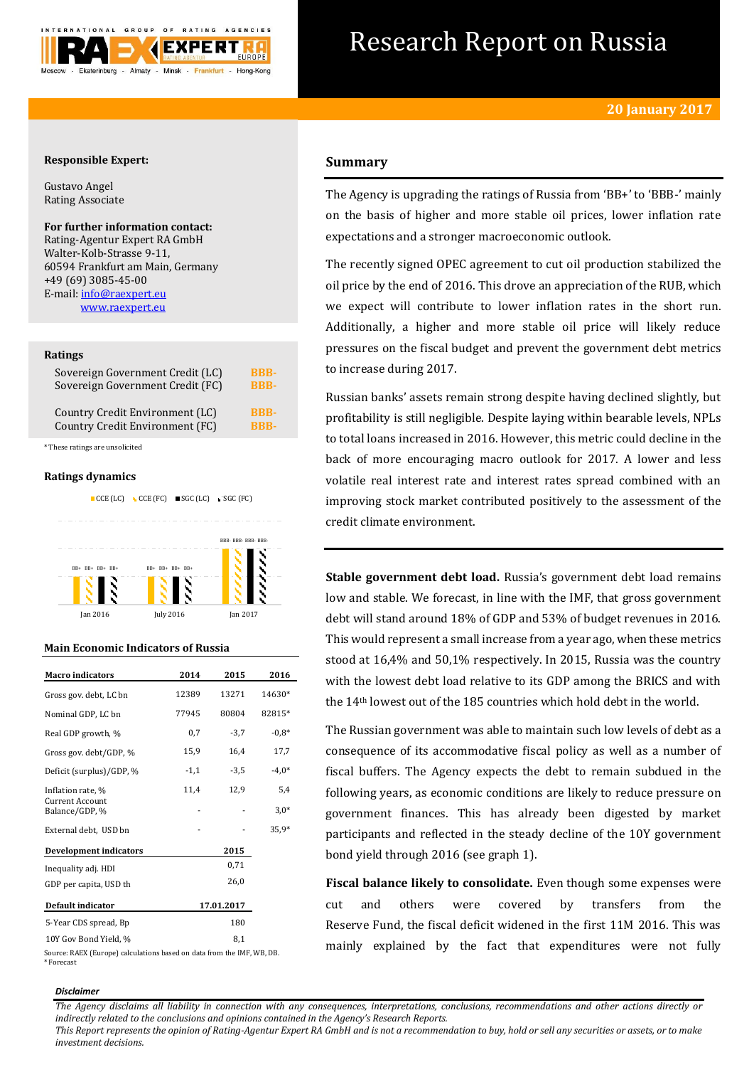

# Research Report on Russia

## **Responsible Expert:**

Gustavo Angel Rating Associate

## **For further information contact:**

Rating-Agentur Expert RA GmbH Walter-Kolb-Strasse 9-11, 60594 Frankfurt am Main, Germany +49 (69) 3085-45-00 E-mail[: info@raexpert.eu](mailto:info@raexpert.eu) [www.raexpert.eu](http://raexpert.eu/)

#### **Ratings**

| Sovereign Government Credit (LC) | <b>BBB-</b> |
|----------------------------------|-------------|
| Sovereign Government Credit (FC) | <b>RRR-</b> |
| Country Credit Environment (LC)  | <b>RRR-</b> |
| Country Credit Environment (FC)  | <b>RRR-</b> |

\* These ratings are unsolicited

#### **Ratings dynamics**



Jan 2016 July 2016 Jan 2017

#### **Main Economic Indicators of Russia**

| <b>Macro</b> indicators           | 2014       | 2015   | 2016    |
|-----------------------------------|------------|--------|---------|
| Gross gov. debt, LC bn            | 12389      | 13271  | 14630*  |
| Nominal GDP, LC bn                | 77945      | 80804  | 82815*  |
| Real GDP growth, %                | 0,7        | $-3,7$ | $-0.8*$ |
| Gross gov. debt/GDP, %            | 15,9       | 16,4   | 17,7    |
| Deficit (surplus)/GDP, %          | $-1,1$     | $-3,5$ | $-4,0*$ |
| Inflation rate, %                 | 11,4       | 12,9   | 5,4     |
| Current Account<br>Balance/GDP, % |            |        | $3.0*$  |
| External debt, USD bn             |            |        | 35,9*   |
| <b>Development indicators</b>     |            | 2015   |         |
| Inequality adj. HDI               |            | 0,71   |         |
| GDP per capita, USD th            |            | 26,0   |         |
| Default indicator                 | 17.01.2017 |        |         |
| 5-Year CDS spread, Bp             |            | 180    |         |
| 10Y Gov Bond Yield, %             |            | 8,1    |         |

Source: RAEX (Europe) calculations based on data from the IMF, WB, DB. \* Forecast

# **Summary**

The Agency is upgrading the ratings of Russia from 'BB+' to 'BBB-' mainly on the basis of higher and more stable oil prices, lower inflation rate expectations and a stronger macroeconomic outlook.

The recently signed OPEC agreement to cut oil production stabilized the oil price by the end of 2016. This drove an appreciation of the RUB, which we expect will contribute to lower inflation rates in the short run. Additionally, a higher and more stable oil price will likely reduce pressures on the fiscal budget and prevent the government debt metrics to increase during 2017.

Russian banks' assets remain strong despite having declined slightly, but profitability is still negligible. Despite laying within bearable levels, NPLs to total loans increased in 2016. However, this metric could decline in the back of more encouraging macro outlook for 2017. A lower and less volatile real interest rate and interest rates spread combined with an improving stock market contributed positively to the assessment of the credit climate environment.

**Stable government debt load.** Russia's government debt load remains low and stable. We forecast, in line with the IMF, that gross government debt will stand around 18% of GDP and 53% of budget revenues in 2016. This would represent a small increase from a year ago, when these metrics stood at 16,4% and 50,1% respectively. In 2015, Russia was the country with the lowest debt load relative to its GDP among the BRICS and with the 14th lowest out of the 185 countries which hold debt in the world.

The Russian government was able to maintain such low levels of debt as a consequence of its accommodative fiscal policy as well as a number of fiscal buffers. The Agency expects the debt to remain subdued in the following years, as economic conditions are likely to reduce pressure on government finances. This has already been digested by market participants and reflected in the steady decline of the 10Y government bond yield through 2016 (see graph 1).

**Fiscal balance likely to consolidate.** Even though some expenses were cut and others were covered by transfers from the Reserve Fund, the fiscal deficit widened in the first 11M 2016. This was mainly explained by the fact that expenditures were not fully

#### *Disclaimer*

*The Agency disclaims all liability in connection with any consequences, interpretations, conclusions, recommendations and other actions directly or indirectly related to the conclusions and opinions contained in the Agency's Research Reports.*

*This Report represents the opinion of Rating-Agentur Expert RA GmbH and is not a recommendation to buy, hold or sell any securities or assets, or to make investment decisions.*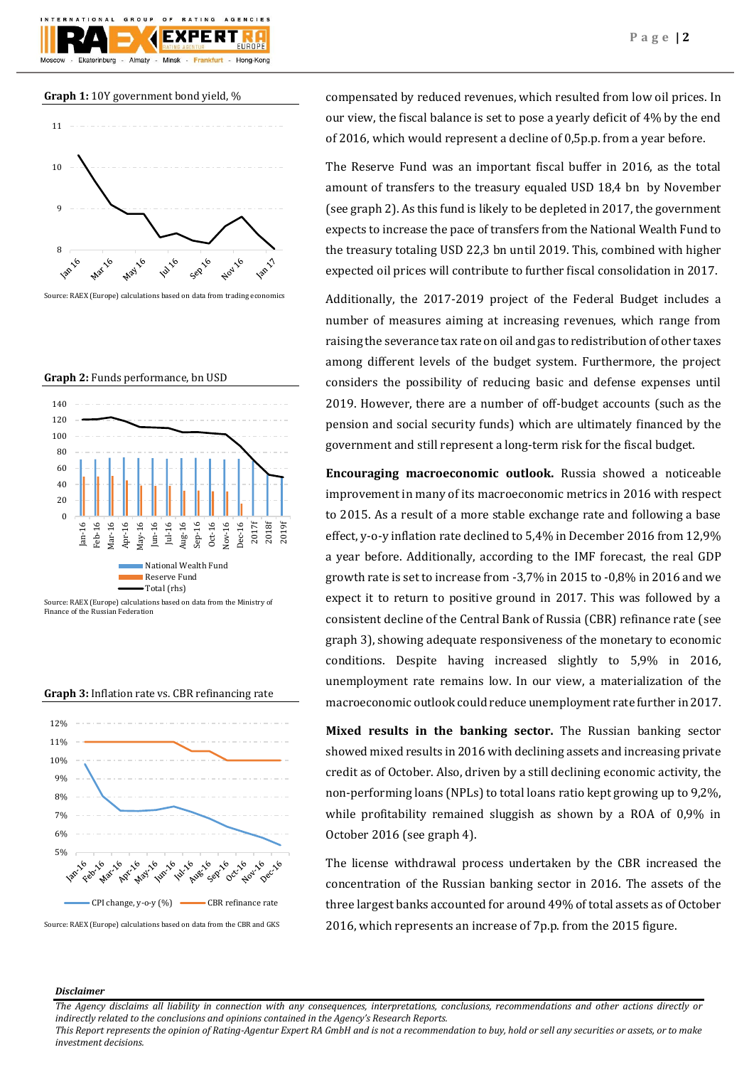**Graph 1:** 10Y government bond yield, %

GROUP

Almaty

Ekaterinburg



 $O F$ 

F X I

Minek

**BATING** 

AGENCIES

Hong-Kong

Source: RAEX (Europe) calculations based on data from trading economics

**Graph 2:** Funds performance, bn USD



Finance of the Russian Federation





Source: RAEX (Europe) calculations based on data from the CBR and GKS

compensated by reduced revenues, which resulted from low oil prices. In our view, the fiscal balance is set to pose a yearly deficit of 4% by the end of 2016, which would represent a decline of 0,5p.p. from a year before.

The Reserve Fund was an important fiscal buffer in 2016, as the total amount of transfers to the treasury equaled USD 18,4 bn by November (see graph 2). As this fund is likely to be depleted in 2017, the government expects to increase the pace of transfers from the National Wealth Fund to the treasury totaling USD 22,3 bn until 2019. This, combined with higher expected oil prices will contribute to further fiscal consolidation in 2017.

Additionally, the 2017-2019 project of the Federal Budget includes a number of measures aiming at increasing revenues, which range from raising the severance tax rate on oil and gas to redistribution of other taxes among different levels of the budget system. Furthermore, the project considers the possibility of reducing basic and defense expenses until 2019. However, there are a number of off-budget accounts (such as the pension and social security funds) which are ultimately financed by the government and still represent a long-term risk for the fiscal budget.

**Encouraging macroeconomic outlook.** Russia showed a noticeable improvement in many of its macroeconomic metrics in 2016 with respect to 2015. As a result of a more stable exchange rate and following a base effect, y-o-y inflation rate declined to 5,4% in December 2016 from 12,9% a year before. Additionally, according to the IMF forecast, the real GDP growth rate is set to increase from -3,7% in 2015 to -0,8% in 2016 and we expect it to return to positive ground in 2017. This was followed by a consistent decline of the Central Bank of Russia (CBR) refinance rate (see graph 3), showing adequate responsiveness of the monetary to economic conditions. Despite having increased slightly to 5,9% in 2016, unemployment rate remains low. In our view, a materialization of the macroeconomic outlook could reduce unemployment rate further in 2017.

**Mixed results in the banking sector.** The Russian banking sector showed mixed results in 2016 with declining assets and increasing private credit as of October. Also, driven by a still declining economic activity, the non-performing loans (NPLs) to total loans ratio kept growing up to 9,2%, while profitability remained sluggish as shown by a ROA of 0,9% in October 2016 (see graph 4).

The license withdrawal process undertaken by the CBR increased the concentration of the Russian banking sector in 2016. The assets of the three largest banks accounted for around 49% of total assets as of October 2016, which represents an increase of 7p.p. from the 2015 figure.

#### *Disclaimer*

*The Agency disclaims all liability in connection with any consequences, interpretations, conclusions, recommendations and other actions directly or indirectly related to the conclusions and opinions contained in the Agency's Research Reports.*

*This Report represents the opinion of Rating-Agentur Expert RA GmbH and is not a recommendation to buy, hold or sell any securities or assets, or to make investment decisions.*